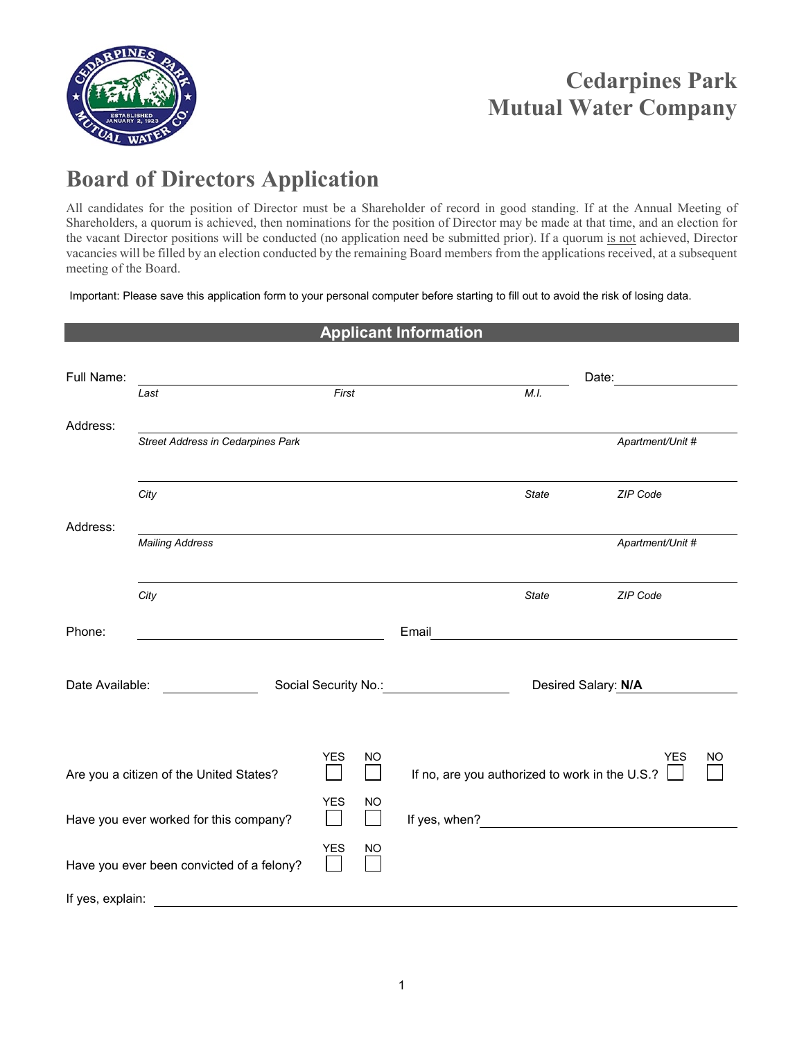

## **Cedarpines Park Mutual Water Company**

## **Board of Directors Application**

All candidates for the position of Director must be a Shareholder of record in good standing. If at the Annual Meeting of Shareholders, a quorum is achieved, then nominations for the position of Director may be made at that time, and an election for the vacant Director positions will be conducted (no application need be submitted prior). If a quorum is not achieved, Director vacancies will be filled by an election conducted by the remaining Board members from the applications received, at a subsequent meeting of the Board.

Important: Please save this application form to your personal computer before starting to fill out to avoid the risk of losing data.

| <b>Applicant Information</b>              |                                          |  |            |                                                                  |                                                                                                                                                                                                                               |       |                  |  |
|-------------------------------------------|------------------------------------------|--|------------|------------------------------------------------------------------|-------------------------------------------------------------------------------------------------------------------------------------------------------------------------------------------------------------------------------|-------|------------------|--|
| Full Name:                                |                                          |  |            |                                                                  |                                                                                                                                                                                                                               |       | Date:            |  |
|                                           | Last                                     |  | First      |                                                                  |                                                                                                                                                                                                                               | M.I.  |                  |  |
| Address:                                  |                                          |  |            |                                                                  |                                                                                                                                                                                                                               |       |                  |  |
|                                           | <b>Street Address in Cedarpines Park</b> |  |            |                                                                  |                                                                                                                                                                                                                               |       | Apartment/Unit # |  |
|                                           |                                          |  |            |                                                                  |                                                                                                                                                                                                                               |       |                  |  |
|                                           | City                                     |  |            |                                                                  |                                                                                                                                                                                                                               | State | ZIP Code         |  |
| Address:                                  |                                          |  |            |                                                                  |                                                                                                                                                                                                                               |       |                  |  |
|                                           | <b>Mailing Address</b>                   |  |            |                                                                  |                                                                                                                                                                                                                               |       | Apartment/Unit # |  |
|                                           |                                          |  |            |                                                                  |                                                                                                                                                                                                                               |       |                  |  |
|                                           | City                                     |  |            |                                                                  |                                                                                                                                                                                                                               | State | ZIP Code         |  |
| Phone:                                    |                                          |  |            |                                                                  | Email                                                                                                                                                                                                                         |       |                  |  |
|                                           |                                          |  |            |                                                                  |                                                                                                                                                                                                                               |       |                  |  |
| Date Available:                           |                                          |  |            | Social Security No.: Social Security No.:<br>Desired Salary: N/A |                                                                                                                                                                                                                               |       |                  |  |
|                                           |                                          |  |            |                                                                  |                                                                                                                                                                                                                               |       |                  |  |
|                                           |                                          |  |            |                                                                  |                                                                                                                                                                                                                               |       |                  |  |
|                                           |                                          |  | <b>YES</b> | NO                                                               |                                                                                                                                                                                                                               |       | <b>YES</b><br>NO |  |
| Are you a citizen of the United States?   |                                          |  |            |                                                                  | If no, are you authorized to work in the U.S.?                                                                                                                                                                                |       |                  |  |
|                                           |                                          |  | <b>YES</b> | NO                                                               |                                                                                                                                                                                                                               |       |                  |  |
| Have you ever worked for this company?    |                                          |  |            | l a l                                                            | If yes, when? The state of the state of the state of the state of the state of the state of the state of the state of the state of the state of the state of the state of the state of the state of the state of the state of |       |                  |  |
| Have you ever been convicted of a felony? |                                          |  | <b>YES</b> | NO                                                               |                                                                                                                                                                                                                               |       |                  |  |
| If yes, explain:                          |                                          |  |            |                                                                  |                                                                                                                                                                                                                               |       |                  |  |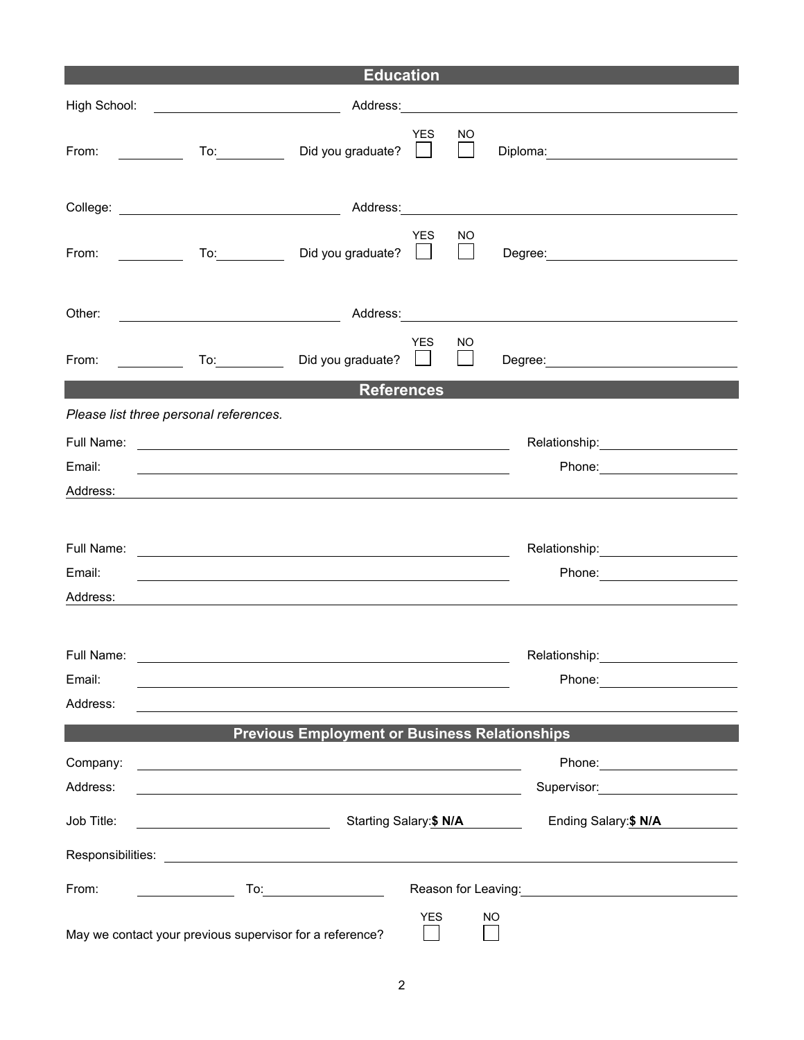| <b>Education</b>                                                             |                                                                                                                                                                    |  |  |  |  |  |  |  |
|------------------------------------------------------------------------------|--------------------------------------------------------------------------------------------------------------------------------------------------------------------|--|--|--|--|--|--|--|
|                                                                              | High School: <u>Alexander School</u><br>Address: Address: Address: Address: Address: Address: Address: Address: Address: Address: Address: A                       |  |  |  |  |  |  |  |
|                                                                              | <b>YES</b><br>NO.<br>To: Did you graduate?<br>From: $\qquad \qquad$<br>$\mathbf{1}$                                                                                |  |  |  |  |  |  |  |
|                                                                              |                                                                                                                                                                    |  |  |  |  |  |  |  |
|                                                                              | <b>YES</b><br>NO.<br>To: Did you graduate?<br>$\mathbf{L}$<br>From: $\sqrt{2\pi}$                                                                                  |  |  |  |  |  |  |  |
| Other:                                                                       | Address: 2008 and 2008 and 2008 and 2008 and 2008 and 2008 and 2008 and 2008 and 2008 and 2008 and 2008 and 20                                                     |  |  |  |  |  |  |  |
|                                                                              | YES<br>NO.<br>To: Did you graduate?<br>From: $\frac{1}{2}$<br>$\mathbf{I}$                                                                                         |  |  |  |  |  |  |  |
|                                                                              | <b>References</b><br><u> Tanzania (h. 1878).</u>                                                                                                                   |  |  |  |  |  |  |  |
|                                                                              | Please list three personal references.                                                                                                                             |  |  |  |  |  |  |  |
|                                                                              | Relationship: _________________                                                                                                                                    |  |  |  |  |  |  |  |
| Email:                                                                       |                                                                                                                                                                    |  |  |  |  |  |  |  |
| Address:                                                                     |                                                                                                                                                                    |  |  |  |  |  |  |  |
|                                                                              |                                                                                                                                                                    |  |  |  |  |  |  |  |
|                                                                              |                                                                                                                                                                    |  |  |  |  |  |  |  |
| Email:                                                                       |                                                                                                                                                                    |  |  |  |  |  |  |  |
| Address:                                                                     | <u> 1989 - Johann Stoff, deutscher Stoff, der Stoff, der Stoff, der Stoff, der Stoff, der Stoff, der Stoff, der S</u>                                              |  |  |  |  |  |  |  |
|                                                                              |                                                                                                                                                                    |  |  |  |  |  |  |  |
| Full Name:                                                                   | Relationship:                                                                                                                                                      |  |  |  |  |  |  |  |
| Email:                                                                       | Phone: <u>_____________</u>                                                                                                                                        |  |  |  |  |  |  |  |
| Address:                                                                     |                                                                                                                                                                    |  |  |  |  |  |  |  |
|                                                                              | <b>Previous Employment or Business Relationships</b>                                                                                                               |  |  |  |  |  |  |  |
| Company:                                                                     | Phone: _______________________                                                                                                                                     |  |  |  |  |  |  |  |
| Address:                                                                     | and the control of the control of the control of the control of the control of the control of the control of the<br>Supervisor: Supervisor:                        |  |  |  |  |  |  |  |
|                                                                              |                                                                                                                                                                    |  |  |  |  |  |  |  |
| Job Title:                                                                   | Ending Salary: \$ N/A<br>Starting Salary:\$ N/A<br><u> 1989 - Johann Barbara, martin amerikan basar da</u>                                                         |  |  |  |  |  |  |  |
|                                                                              |                                                                                                                                                                    |  |  |  |  |  |  |  |
| From:                                                                        | Reason for Leaving: <u>contained and all proportional</u><br>To:___________________________<br>$\overline{\phantom{a}}$ . The contract of $\overline{\phantom{a}}$ |  |  |  |  |  |  |  |
| <b>YES</b><br>NO<br>May we contact your previous supervisor for a reference? |                                                                                                                                                                    |  |  |  |  |  |  |  |